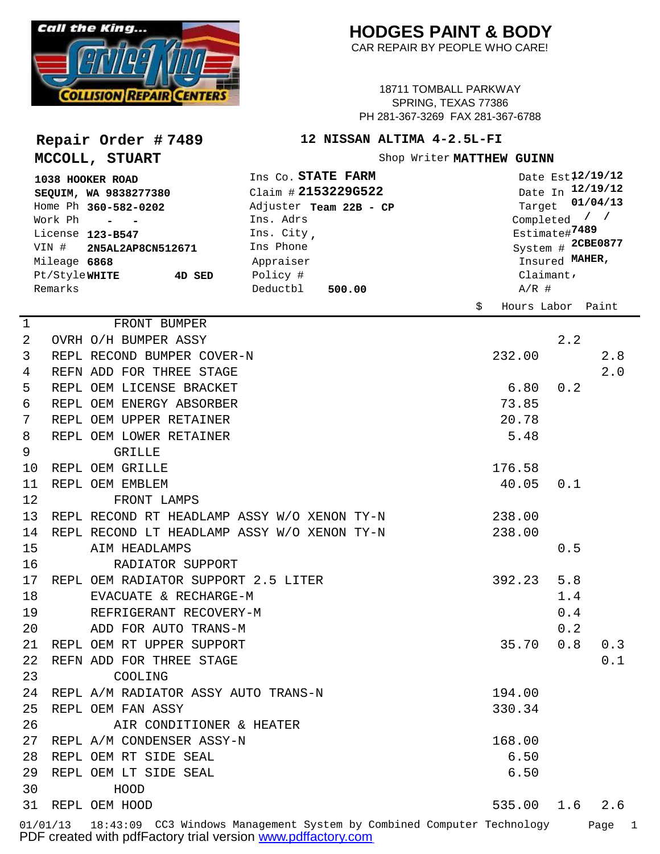

**Repair Order # 7489**

**MCCOLL, STUART**

## **HODGES PAINT & BODY**

CAR REPAIR BY PEOPLE WHO CARE!

18711 TOMBALL PARKWAY SPRING, TEXAS 77386 PH 281-367-3269 FAX 281-367-6788

## **12 NISSAN ALTIMA 4-2.5L-FI**

Shop Writer MATTHEW GUINN

| 1038 HOOKER ROAD<br>SEQUIM, WA 9838277380<br>Home Ph 360-582-0202<br>Work Ph<br>$\overline{\phantom{a}}$<br>License 123-B547<br>VIN #<br>2N5AL2AP8CN512671<br>Mileage 6868<br>Pt/Style <b>white</b><br>4D SED<br>Remarks |  |                                             | Ins Co. STATE FARM<br>Claim # 2153229G522<br>Adjuster Team 22B - CP<br>Ins. Adrs<br>Ins. City,<br>Ins Phone<br>Appraiser<br>Policy #<br>Deductbl<br>500.00 | Date Est <sub>12/19/12</sub><br>Date In 12/19/12<br>01/04/13<br>Target<br>Completed $/$ /<br>Estimate#7489<br>System # 2CBE0877<br>Insured MAHER,<br>Claimant $\prime$<br>$A/R$ # |                   |     |     |
|--------------------------------------------------------------------------------------------------------------------------------------------------------------------------------------------------------------------------|--|---------------------------------------------|------------------------------------------------------------------------------------------------------------------------------------------------------------|-----------------------------------------------------------------------------------------------------------------------------------------------------------------------------------|-------------------|-----|-----|
|                                                                                                                                                                                                                          |  |                                             |                                                                                                                                                            | \$                                                                                                                                                                                | Hours Labor Paint |     |     |
| 1                                                                                                                                                                                                                        |  | FRONT BUMPER                                |                                                                                                                                                            |                                                                                                                                                                                   |                   |     |     |
| 2                                                                                                                                                                                                                        |  | OVRH O/H BUMPER ASSY                        |                                                                                                                                                            |                                                                                                                                                                                   |                   | 2.2 |     |
| 3                                                                                                                                                                                                                        |  | REPL RECOND BUMPER COVER-N                  |                                                                                                                                                            |                                                                                                                                                                                   | 232.00            |     | 2.8 |
| 4                                                                                                                                                                                                                        |  | REFN ADD FOR THREE STAGE                    |                                                                                                                                                            |                                                                                                                                                                                   |                   |     | 2.0 |
| 5                                                                                                                                                                                                                        |  | REPL OEM LICENSE BRACKET                    |                                                                                                                                                            |                                                                                                                                                                                   | 6.80              | 0.2 |     |
| 6                                                                                                                                                                                                                        |  | REPL OEM ENERGY ABSORBER                    |                                                                                                                                                            |                                                                                                                                                                                   | 73.85             |     |     |
| 7                                                                                                                                                                                                                        |  | REPL OEM UPPER RETAINER                     |                                                                                                                                                            |                                                                                                                                                                                   | 20.78             |     |     |
| 8                                                                                                                                                                                                                        |  | REPL OEM LOWER RETAINER                     |                                                                                                                                                            |                                                                                                                                                                                   | 5.48              |     |     |
| 9                                                                                                                                                                                                                        |  | <b>GRILLE</b>                               |                                                                                                                                                            |                                                                                                                                                                                   |                   |     |     |
| 10                                                                                                                                                                                                                       |  | REPL OEM GRILLE                             |                                                                                                                                                            |                                                                                                                                                                                   | 176.58            |     |     |
| 11                                                                                                                                                                                                                       |  | REPL OEM EMBLEM                             |                                                                                                                                                            |                                                                                                                                                                                   | 40.05             | 0.1 |     |
| 12                                                                                                                                                                                                                       |  | FRONT LAMPS                                 |                                                                                                                                                            |                                                                                                                                                                                   |                   |     |     |
| 13                                                                                                                                                                                                                       |  | REPL RECOND RT HEADLAMP ASSY W/O XENON TY-N |                                                                                                                                                            |                                                                                                                                                                                   | 238.00            |     |     |
| 14                                                                                                                                                                                                                       |  | REPL RECOND LT HEADLAMP ASSY W/O XENON TY-N |                                                                                                                                                            |                                                                                                                                                                                   | 238.00            |     |     |
| 15                                                                                                                                                                                                                       |  | AIM HEADLAMPS                               |                                                                                                                                                            |                                                                                                                                                                                   |                   | 0.5 |     |
| 16                                                                                                                                                                                                                       |  | RADIATOR SUPPORT                            |                                                                                                                                                            |                                                                                                                                                                                   |                   |     |     |
| 17                                                                                                                                                                                                                       |  | REPL OEM RADIATOR SUPPORT 2.5 LITER         |                                                                                                                                                            |                                                                                                                                                                                   | 392.23            | 5.8 |     |
| 18                                                                                                                                                                                                                       |  | EVACUATE & RECHARGE-M                       |                                                                                                                                                            |                                                                                                                                                                                   |                   | 1.4 |     |
| 19                                                                                                                                                                                                                       |  | REFRIGERANT RECOVERY-M                      |                                                                                                                                                            |                                                                                                                                                                                   |                   | 0.4 |     |
| 20                                                                                                                                                                                                                       |  | ADD FOR AUTO TRANS-M                        |                                                                                                                                                            |                                                                                                                                                                                   |                   | 0.2 |     |
| 21                                                                                                                                                                                                                       |  | REPL OEM RT UPPER SUPPORT                   |                                                                                                                                                            |                                                                                                                                                                                   | 35.70             | 0.8 | 0.3 |
| 22                                                                                                                                                                                                                       |  | REFN ADD FOR THREE STAGE                    |                                                                                                                                                            |                                                                                                                                                                                   |                   |     | 0.1 |
| 23                                                                                                                                                                                                                       |  | COOLING                                     |                                                                                                                                                            |                                                                                                                                                                                   |                   |     |     |
|                                                                                                                                                                                                                          |  | 24 REPL A/M RADIATOR ASSY AUTO TRANS-N      |                                                                                                                                                            |                                                                                                                                                                                   | 194.00            |     |     |
| 25                                                                                                                                                                                                                       |  | REPL OEM FAN ASSY                           |                                                                                                                                                            |                                                                                                                                                                                   | 330.34            |     |     |
| 26                                                                                                                                                                                                                       |  | AIR CONDITIONER & HEATER                    |                                                                                                                                                            |                                                                                                                                                                                   |                   |     |     |
|                                                                                                                                                                                                                          |  | 27 REPL A/M CONDENSER ASSY-N                |                                                                                                                                                            |                                                                                                                                                                                   | 168.00            |     |     |
|                                                                                                                                                                                                                          |  | 28 REPL OEM RT SIDE SEAL                    |                                                                                                                                                            |                                                                                                                                                                                   | 6.50              |     |     |
|                                                                                                                                                                                                                          |  | 29 REPL OEM LT SIDE SEAL                    |                                                                                                                                                            |                                                                                                                                                                                   | 6.50              |     |     |
| 30                                                                                                                                                                                                                       |  | HOOD                                        |                                                                                                                                                            |                                                                                                                                                                                   |                   |     |     |
|                                                                                                                                                                                                                          |  | 31 REPL OEM HOOD                            |                                                                                                                                                            |                                                                                                                                                                                   | 535.00            | 1.6 | 2.6 |
|                                                                                                                                                                                                                          |  |                                             |                                                                                                                                                            |                                                                                                                                                                                   |                   |     |     |

01/01/13 18:43:09 CC3 Windows Management System by Combined Computer Technology Page 1 PDF created with pdfFactory trial version [www.pdffactory.com](http://www.pdffactory.com)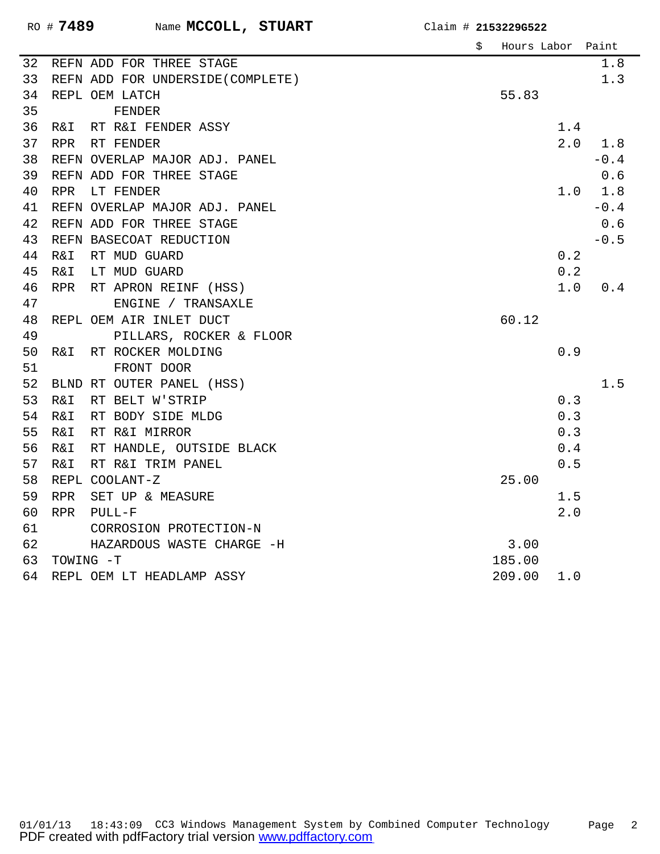|    |            |                                   | \$<br>Hours Labor Paint |     |        |
|----|------------|-----------------------------------|-------------------------|-----|--------|
| 32 |            | REFN ADD FOR THREE STAGE          |                         |     | 1.8    |
| 33 |            | REFN ADD FOR UNDERSIDE (COMPLETE) |                         |     | 1.3    |
| 34 |            | REPL OEM LATCH                    | 55.83                   |     |        |
| 35 |            | FENDER                            |                         |     |        |
| 36 | R&I        | RT R&I FENDER ASSY                |                         | 1.4 |        |
| 37 | <b>RPR</b> | RT FENDER                         |                         | 2.0 | 1.8    |
| 38 |            | REFN OVERLAP MAJOR ADJ. PANEL     |                         |     | $-0.4$ |
| 39 |            | REFN ADD FOR THREE STAGE          |                         |     | 0.6    |
| 40 | <b>RPR</b> | LT FENDER                         |                         | 1.0 | 1.8    |
| 41 |            | REFN OVERLAP MAJOR ADJ. PANEL     |                         |     | $-0.4$ |
| 42 |            | REFN ADD FOR THREE STAGE          |                         |     | $0.6$  |
| 43 |            | REFN BASECOAT REDUCTION           |                         |     | $-0.5$ |
| 44 | R&I        | RT MUD GUARD                      |                         | 0.2 |        |
| 45 | R&I        | LT MUD GUARD                      |                         | 0.2 |        |
| 46 | <b>RPR</b> | RT APRON REINF (HSS)              |                         | 1.0 | 0.4    |
| 47 |            | ENGINE / TRANSAXLE                |                         |     |        |
| 48 |            | REPL OEM AIR INLET DUCT           | 60.12                   |     |        |
| 49 |            | PILLARS, ROCKER & FLOOR           |                         |     |        |
| 50 | R&I        | RT ROCKER MOLDING                 |                         | 0.9 |        |
| 51 |            | FRONT DOOR                        |                         |     |        |
| 52 |            | BLND RT OUTER PANEL (HSS)         |                         |     | 1.5    |
| 53 | R&I        | RT BELT W'STRIP                   |                         | 0.3 |        |
| 54 | R&I        | RT BODY SIDE MLDG                 |                         | 0.3 |        |
| 55 | R&I        | RT R&I MIRROR                     |                         | 0.3 |        |
| 56 | R&I        | RT HANDLE, OUTSIDE BLACK          |                         | 0.4 |        |
| 57 | R&I        | RT R&I TRIM PANEL                 |                         | 0.5 |        |
| 58 |            | REPL COOLANT-Z                    | 25.00                   |     |        |
| 59 | <b>RPR</b> | SET UP & MEASURE                  |                         | 1.5 |        |
| 60 | <b>RPR</b> | $PULL-F$                          |                         | 2.0 |        |
| 61 |            | CORROSION PROTECTION-N            |                         |     |        |
| 62 |            | HAZARDOUS WASTE CHARGE -H         | 3.00                    |     |        |
| 63 | TOWING -T  |                                   | 185.00                  |     |        |
| 64 |            | REPL OEM LT HEADLAMP ASSY         | 209.00                  | 1.0 |        |